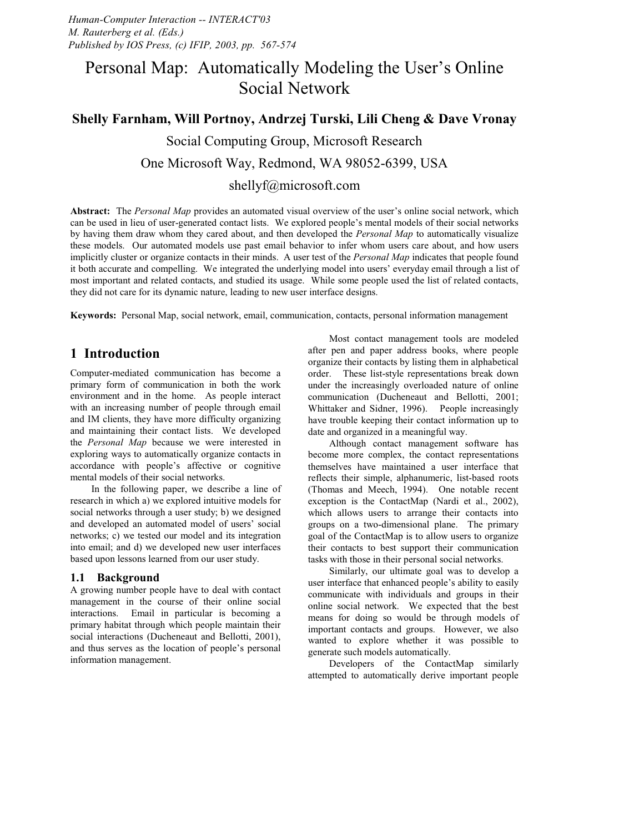## Personal Map: Automatically Modeling the User's Online Social Network

# **Shelly Farnham, Will Portnoy, Andrzej Turski, Lili Cheng & Dave Vronay** Social Computing Group, Microsoft Research One Microsoft Way, Redmond, WA 98052-6399, USA shellyf@microsoft.com

**Abstract:** The *Personal Map* provides an automated visual overview of the user's online social network, which can be used in lieu of user-generated contact lists. We explored people's mental models of their social networks by having them draw whom they cared about, and then developed the *Personal Map* to automatically visualize these models. Our automated models use past email behavior to infer whom users care about, and how users implicitly cluster or organize contacts in their minds. A user test of the *Personal Map* indicates that people found it both accurate and compelling. We integrated the underlying model into users' everyday email through a list of most important and related contacts, and studied its usage. While some people used the list of related contacts, they did not care for its dynamic nature, leading to new user interface designs.

**Keywords:** Personal Map, social network, email, communication, contacts, personal information management

## **1 Introduction**

Computer-mediated communication has become a primary form of communication in both the work environment and in the home. As people interact with an increasing number of people through email and IM clients, they have more difficulty organizing and maintaining their contact lists. We developed the *Personal Map* because we were interested in exploring ways to automatically organize contacts in accordance with people's affective or cognitive mental models of their social networks.

In the following paper, we describe a line of research in which a) we explored intuitive models for social networks through a user study; b) we designed and developed an automated model of users' social networks; c) we tested our model and its integration into email; and d) we developed new user interfaces based upon lessons learned from our user study.

#### **1.1 Background**

A growing number people have to deal with contact management in the course of their online social interactions. Email in particular is becoming a primary habitat through which people maintain their social interactions (Ducheneaut and Bellotti, 2001), and thus serves as the location of people's personal information management.

Most contact management tools are modeled after pen and paper address books, where people organize their contacts by listing them in alphabetical order. These list-style representations break down under the increasingly overloaded nature of online communication (Ducheneaut and Bellotti, 2001; Whittaker and Sidner, 1996). People increasingly have trouble keeping their contact information up to date and organized in a meaningful way.

Although contact management software has become more complex, the contact representations themselves have maintained a user interface that reflects their simple, alphanumeric, list-based roots (Thomas and Meech, 1994). One notable recent exception is the ContactMap (Nardi et al., 2002), which allows users to arrange their contacts into groups on a two-dimensional plane. The primary goal of the ContactMap is to allow users to organize their contacts to best support their communication tasks with those in their personal social networks.

Similarly, our ultimate goal was to develop a user interface that enhanced people's ability to easily communicate with individuals and groups in their online social network. We expected that the best means for doing so would be through models of important contacts and groups. However, we also wanted to explore whether it was possible to generate such models automatically.

Developers of the ContactMap similarly attempted to automatically derive important people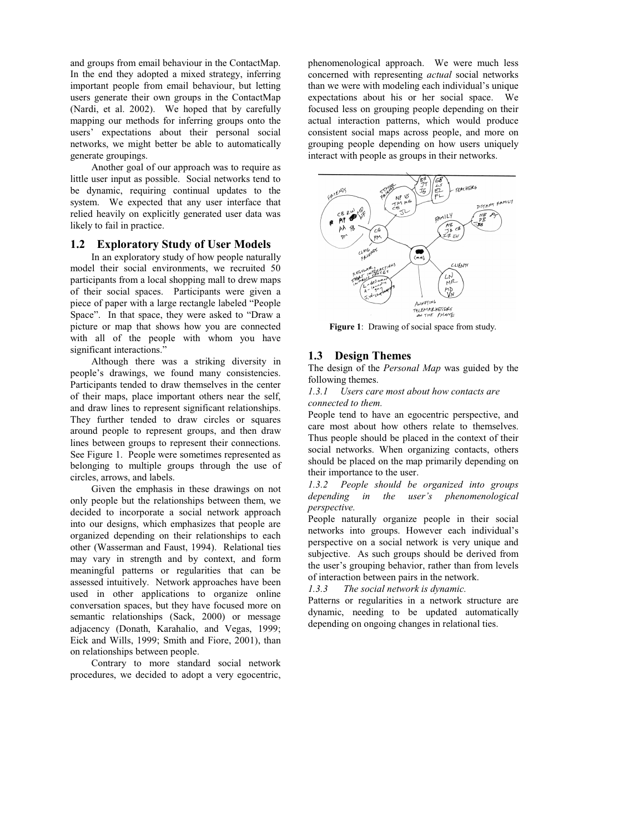and groups from email behaviour in the ContactMap. In the end they adopted a mixed strategy, inferring important people from email behaviour, but letting users generate their own groups in the ContactMap (Nardi, et al. 2002). We hoped that by carefully mapping our methods for inferring groups onto the users' expectations about their personal social networks, we might better be able to automatically generate groupings.

 Another goal of our approach was to require as little user input as possible. Social networks tend to be dynamic, requiring continual updates to the system. We expected that any user interface that relied heavily on explicitly generated user data was likely to fail in practice.

#### **1.2 Exploratory Study of User Models**

 In an exploratory study of how people naturally model their social environments, we recruited 50 participants from a local shopping mall to drew maps of their social spaces. Participants were given a piece of paper with a large rectangle labeled "People Space". In that space, they were asked to "Draw a picture or map that shows how you are connected with all of the people with whom you have significant interactions."

 Although there was a striking diversity in people's drawings, we found many consistencies. Participants tended to draw themselves in the center of their maps, place important others near the self, and draw lines to represent significant relationships. They further tended to draw circles or squares around people to represent groups, and then draw lines between groups to represent their connections. See Figure 1. People were sometimes represented as belonging to multiple groups through the use of circles, arrows, and labels.

 Given the emphasis in these drawings on not only people but the relationships between them, we decided to incorporate a social network approach into our designs, which emphasizes that people are organized depending on their relationships to each other (Wasserman and Faust, 1994). Relational ties may vary in strength and by context, and form meaningful patterns or regularities that can be assessed intuitively. Network approaches have been used in other applications to organize online conversation spaces, but they have focused more on semantic relationships (Sack, 2000) or message adjacency (Donath, Karahalio, and Vegas, 1999; Eick and Wills, 1999; Smith and Fiore, 2001), than on relationships between people.

 Contrary to more standard social network procedures, we decided to adopt a very egocentric, phenomenological approach. We were much less concerned with representing *actual* social networks than we were with modeling each individual's unique expectations about his or her social space. We focused less on grouping people depending on their actual interaction patterns, which would produce consistent social maps across people, and more on grouping people depending on how users uniquely interact with people as groups in their networks.



**Figure 1**: Drawing of social space from study*.*

### **1.3 Design Themes**

The design of the *Personal Map* was guided by the following themes.

*1.3.1 Users care most about how contacts are connected to them.* 

People tend to have an egocentric perspective, and care most about how others relate to themselves. Thus people should be placed in the context of their social networks. When organizing contacts, others should be placed on the map primarily depending on their importance to the user.

*1.3.2 People should be organized into groups depending in the user's phenomenological perspective.* 

People naturally organize people in their social networks into groups. However each individual's perspective on a social network is very unique and subjective. As such groups should be derived from the user's grouping behavior, rather than from levels of interaction between pairs in the network.

*1.3.3 The social network is dynamic.* 

Patterns or regularities in a network structure are dynamic, needing to be updated automatically depending on ongoing changes in relational ties.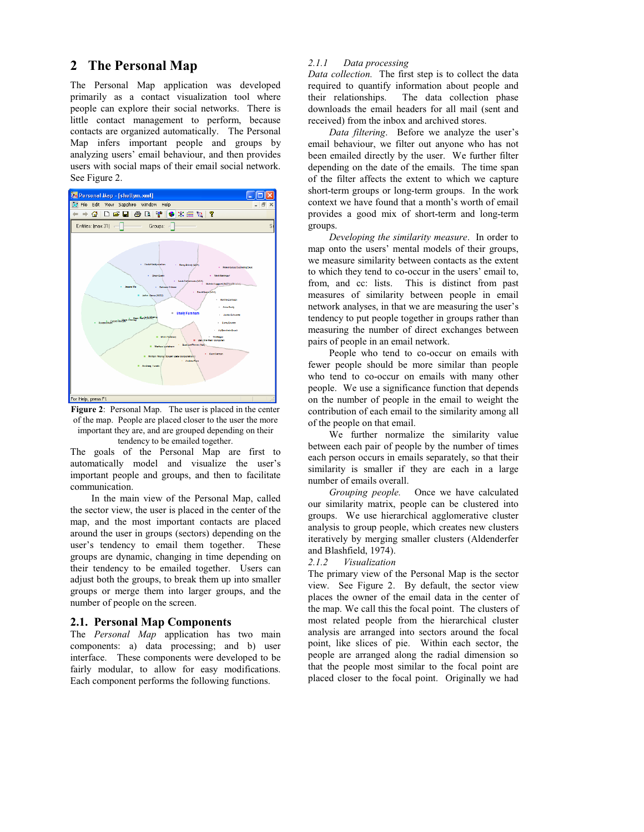## **2 The Personal Map**

The Personal Map application was developed primarily as a contact visualization tool where people can explore their social networks. There is little contact management to perform, because contacts are organized automatically. The Personal Map infers important people and groups by analyzing users' email behaviour, and then provides users with social maps of their email social network. See Figure 2.





The goals of the Personal Map are first to automatically model and visualize the user's important people and groups, and then to facilitate communication.

 In the main view of the Personal Map, called the sector view, the user is placed in the center of the map, and the most important contacts are placed around the user in groups (sectors) depending on the user's tendency to email them together. These groups are dynamic, changing in time depending on their tendency to be emailed together. Users can adjust both the groups, to break them up into smaller groups or merge them into larger groups, and the number of people on the screen.

#### **2.1. Personal Map Components**

The *Personal Map* application has two main components: a) data processing; and b) user interface. These components were developed to be fairly modular, to allow for easy modifications. Each component performs the following functions.

#### *2.1.1 Data processing*

*Data collection.* The first step is to collect the data required to quantify information about people and their relationships. The data collection phase downloads the email headers for all mail (sent and received) from the inbox and archived stores.

 *Data filtering*. Before we analyze the user's email behaviour, we filter out anyone who has not been emailed directly by the user. We further filter depending on the date of the emails. The time span of the filter affects the extent to which we capture short-term groups or long-term groups. In the work context we have found that a month's worth of email provides a good mix of short-term and long-term groups.

 *Developing the similarity measure*. In order to map onto the users' mental models of their groups, we measure similarity between contacts as the extent to which they tend to co-occur in the users' email to, from, and cc: lists. This is distinct from past measures of similarity between people in email network analyses, in that we are measuring the user's tendency to put people together in groups rather than measuring the number of direct exchanges between pairs of people in an email network.

 People who tend to co-occur on emails with fewer people should be more similar than people who tend to co-occur on emails with many other people. We use a significance function that depends on the number of people in the email to weight the contribution of each email to the similarity among all of the people on that email.

 We further normalize the similarity value between each pair of people by the number of times each person occurs in emails separately, so that their similarity is smaller if they are each in a large number of emails overall.

 *Grouping people.* Once we have calculated our similarity matrix, people can be clustered into groups. We use hierarchical agglomerative cluster analysis to group people, which creates new clusters iteratively by merging smaller clusters (Aldenderfer and Blashfield, 1974).

*2.1.2 Visualization* 

The primary view of the Personal Map is the sector view. See Figure 2. By default, the sector view places the owner of the email data in the center of the map. We call this the focal point. The clusters of most related people from the hierarchical cluster analysis are arranged into sectors around the focal point, like slices of pie. Within each sector, the people are arranged along the radial dimension so that the people most similar to the focal point are placed closer to the focal point. Originally we had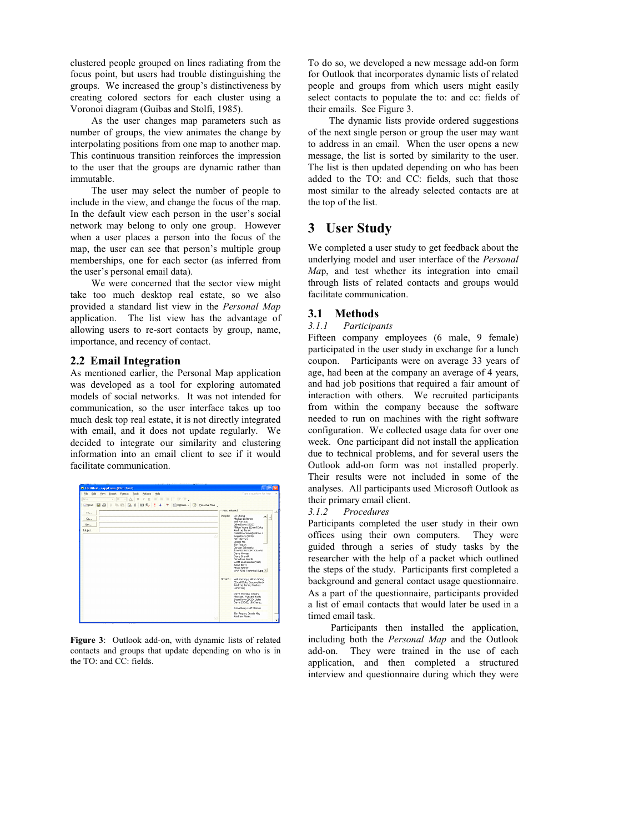clustered people grouped on lines radiating from the focus point, but users had trouble distinguishing the groups. We increased the group's distinctiveness by creating colored sectors for each cluster using a Voronoi diagram (Guibas and Stolfi, 1985).

 As the user changes map parameters such as number of groups, the view animates the change by interpolating positions from one map to another map. This continuous transition reinforces the impression to the user that the groups are dynamic rather than immutable.

 The user may select the number of people to include in the view, and change the focus of the map. In the default view each person in the user's social network may belong to only one group. However when a user places a person into the focus of the map, the user can see that person's multiple group memberships, one for each sector (as inferred from the user's personal email data).

 We were concerned that the sector view might take too much desktop real estate, so we also provided a standard list view in the *Personal Map* application. The list view has the advantage of allowing users to re-sort contacts by group, name, importance, and recency of contact.

#### **2.2 Email Integration**

As mentioned earlier, the Personal Map application was developed as a tool for exploring automated models of social networks. It was not intended for communication, so the user interface takes up too much desk top real estate, it is not directly integrated with email, and it does not update regularly. We decided to integrate our similarity and clustering information into an email client to see if it would facilitate communication.



**Figure 3**: Outlook add-on, with dynamic lists of related contacts and groups that update depending on who is in the TO: and CC: fields.

To do so, we developed a new message add-on form for Outlook that incorporates dynamic lists of related people and groups from which users might easily select contacts to populate the to: and cc: fields of their emails. See Figure 3.

 The dynamic lists provide ordered suggestions of the next single person or group the user may want to address in an email. When the user opens a new message, the list is sorted by similarity to the user. The list is then updated depending on who has been added to the TO: and CC: fields, such that those most similar to the already selected contacts are at the top of the list.

## **3 User Study**

We completed a user study to get feedback about the underlying model and user interface of the *Personal Ma*p, and test whether its integration into email through lists of related contacts and groups would facilitate communication.

#### **3.1 Methods**

#### *3.1.1 Participants*

Fifteen company employees (6 male, 9 female) participated in the user study in exchange for a lunch coupon. Participants were on average 33 years of age, had been at the company an average of 4 years, and had job positions that required a fair amount of interaction with others. We recruited participants from within the company because the software needed to run on machines with the right software configuration. We collected usage data for over one week. One participant did not install the application due to technical problems, and for several users the Outlook add-on form was not installed properly. Their results were not included in some of the analyses. All participants used Microsoft Outlook as their primary email client.

#### *3.1.2 Procedures*

Participants completed the user study in their own offices using their own computers. They were guided through a series of study tasks by the researcher with the help of a packet which outlined the steps of the study. Participants first completed a background and general contact usage questionnaire. As a part of the questionnaire, participants provided a list of email contacts that would later be used in a timed email task.

 Participants then installed the application, including both the *Personal Map* and the Outlook add-on. They were trained in the use of each application, and then completed a structured interview and questionnaire during which they were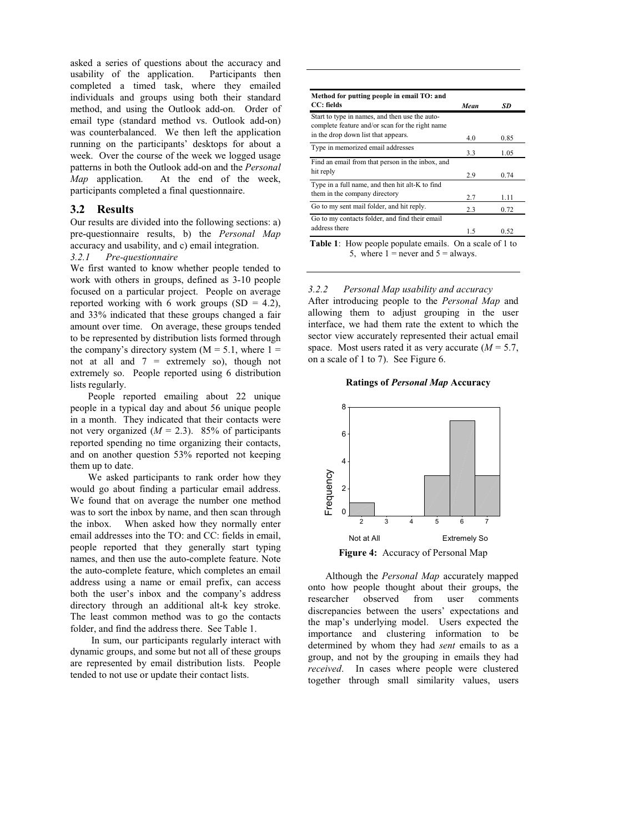asked a series of questions about the accuracy and usability of the application. Participants then completed a timed task, where they emailed individuals and groups using both their standard method, and using the Outlook add-on. Order of email type (standard method vs. Outlook add-on) was counterbalanced. We then left the application running on the participants' desktops for about a week. Over the course of the week we logged usage patterns in both the Outlook add-on and the *Personal Map* application. At the end of the week, participants completed a final questionnaire.

#### **3.2 Results**

Our results are divided into the following sections: a) pre-questionnaire results, b) the *Personal Map* accuracy and usability, and c) email integration.

#### *3.2.1 Pre-questionnaire*

We first wanted to know whether people tended to work with others in groups, defined as 3-10 people focused on a particular project. People on average reported working with 6 work groups  $(SD = 4.2)$ , and 33% indicated that these groups changed a fair amount over time. On average, these groups tended to be represented by distribution lists formed through the company's directory system  $(M = 5.1$ , where  $1 =$ not at all and 7 = extremely so), though not extremely so. People reported using 6 distribution lists regularly.

 People reported emailing about 22 unique people in a typical day and about 56 unique people in a month. They indicated that their contacts were not very organized  $(M = 2.3)$ . 85% of participants reported spending no time organizing their contacts, and on another question 53% reported not keeping them up to date.

 We asked participants to rank order how they would go about finding a particular email address. We found that on average the number one method was to sort the inbox by name, and then scan through the inbox. When asked how they normally enter email addresses into the TO: and CC: fields in email, people reported that they generally start typing names, and then use the auto-complete feature. Note the auto-complete feature, which completes an email address using a name or email prefix, can access both the user's inbox and the company's address directory through an additional alt-k key stroke. The least common method was to go the contacts folder, and find the address there. See Table 1.

 In sum, our participants regularly interact with dynamic groups, and some but not all of these groups are represented by email distribution lists. People tended to not use or update their contact lists.

| Method for putting people in email TO: and                                                        |      |      |  |
|---------------------------------------------------------------------------------------------------|------|------|--|
| CC: fields                                                                                        | Mean | SD   |  |
| Start to type in names, and then use the auto-<br>complete feature and/or scan for the right name |      |      |  |
| in the drop down list that appears.                                                               | 4.0  | 0.85 |  |
| Type in memorized email addresses                                                                 | 3.3  | 1.05 |  |
| Find an email from that person in the inbox, and                                                  |      |      |  |
| hit reply                                                                                         | 2.9  | 0.74 |  |
| Type in a full name, and then hit alt-K to find                                                   |      |      |  |
| them in the company directory                                                                     | 2.7  | 1.11 |  |
| Go to my sent mail folder, and hit reply.                                                         | 2.3  | 0.72 |  |
| Go to my contacts folder, and find their email                                                    |      |      |  |
| address there                                                                                     | 1.5  | 0.52 |  |

5, where  $1 =$  never and  $5 =$  always.

*3.2.2 Personal Map usability and accuracy*  After introducing people to the *Personal Map* and allowing them to adjust grouping in the user interface, we had them rate the extent to which the sector view accurately represented their actual email space. Most users rated it as very accurate  $(M = 5.7)$ , on a scale of 1 to 7). See Figure 6.

#### **Ratings of** *Personal Map* **Accuracy**



 Although the *Personal Map* accurately mapped onto how people thought about their groups, the researcher observed from user comments discrepancies between the users' expectations and the map's underlying model. Users expected the importance and clustering information to be determined by whom they had *sent* emails to as a group, and not by the grouping in emails they had *received*. In cases where people were clustered together through small similarity values, users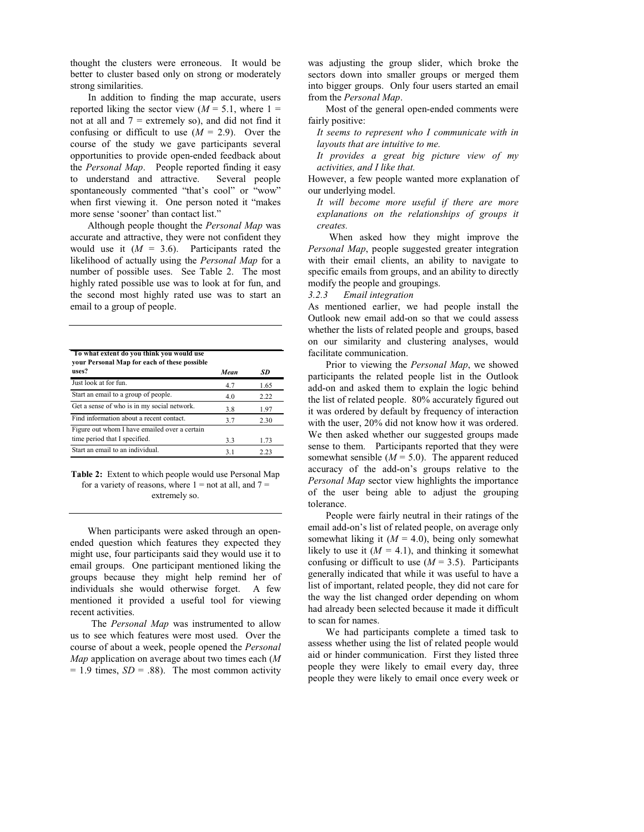thought the clusters were erroneous. It would be better to cluster based only on strong or moderately strong similarities.

 In addition to finding the map accurate, users reported liking the sector view  $(M = 5.1,$  where  $1 =$ not at all and  $7 =$  extremely so), and did not find it confusing or difficult to use  $(M = 2.9)$ . Over the course of the study we gave participants several opportunities to provide open-ended feedback about the *Personal Map*. People reported finding it easy<br>to understand and attractive. Several people to understand and attractive. spontaneously commented "that's cool" or "wow" when first viewing it. One person noted it "makes more sense 'sooner' than contact list."

 Although people thought the *Personal Map* was accurate and attractive, they were not confident they would use it  $(M = 3.6)$ . Participants rated the likelihood of actually using the *Personal Map* for a number of possible uses. See Table 2. The most highly rated possible use was to look at for fun, and the second most highly rated use was to start an email to a group of people.

| To what extent do you think you would use<br>your Personal Map for each of these possible |      |      |
|-------------------------------------------------------------------------------------------|------|------|
| uses?                                                                                     | Mean | SD   |
| Just look at for fun.                                                                     | 4.7  | 1.65 |
| Start an email to a group of people.                                                      | 4.0  | 2.22 |
| Get a sense of who is in my social network.                                               | 3.8  | 1.97 |
| Find information about a recent contact.                                                  | 3.7  | 2.30 |
| Figure out whom I have emailed over a certain                                             |      |      |
| time period that I specified.                                                             | 3.3  | 1.73 |
| Start an email to an individual.                                                          | 31   | 2.23 |

**Table 2:** Extent to which people would use Personal Map for a variety of reasons, where  $1 =$  not at all, and  $7 =$ extremely so.

 When participants were asked through an openended question which features they expected they might use, four participants said they would use it to email groups. One participant mentioned liking the groups because they might help remind her of individuals she would otherwise forget. A few mentioned it provided a useful tool for viewing recent activities.

 The *Personal Map* was instrumented to allow us to see which features were most used. Over the course of about a week, people opened the *Personal Map* application on average about two times each (*M*   $= 1.9$  times,  $SD = .88$ ). The most common activity

was adjusting the group slider, which broke the sectors down into smaller groups or merged them into bigger groups. Only four users started an email from the *Personal Map*.

 Most of the general open-ended comments were fairly positive:

*It seems to represent who I communicate with in layouts that are intuitive to me.* 

*It provides a great big picture view of my activities, and I like that.* 

However, a few people wanted more explanation of our underlying model.

*It will become more useful if there are more explanations on the relationships of groups it creates.* 

 When asked how they might improve the *Personal Map*, people suggested greater integration with their email clients, an ability to navigate to specific emails from groups, and an ability to directly modify the people and groupings.

#### *3.2.3 Email integration*

As mentioned earlier, we had people install the Outlook new email add-on so that we could assess whether the lists of related people and groups, based on our similarity and clustering analyses, would facilitate communication.

 Prior to viewing the *Personal Map*, we showed participants the related people list in the Outlook add-on and asked them to explain the logic behind the list of related people. 80% accurately figured out it was ordered by default by frequency of interaction with the user, 20% did not know how it was ordered. We then asked whether our suggested groups made sense to them. Participants reported that they were somewhat sensible  $(M = 5.0)$ . The apparent reduced accuracy of the add-on's groups relative to the *Personal Map* sector view highlights the importance of the user being able to adjust the grouping tolerance.

 People were fairly neutral in their ratings of the email add-on's list of related people, on average only somewhat liking it  $(M = 4.0)$ , being only somewhat likely to use it  $(M = 4.1)$ , and thinking it somewhat confusing or difficult to use  $(M = 3.5)$ . Participants generally indicated that while it was useful to have a list of important, related people, they did not care for the way the list changed order depending on whom had already been selected because it made it difficult to scan for names.

 We had participants complete a timed task to assess whether using the list of related people would aid or hinder communication. First they listed three people they were likely to email every day, three people they were likely to email once every week or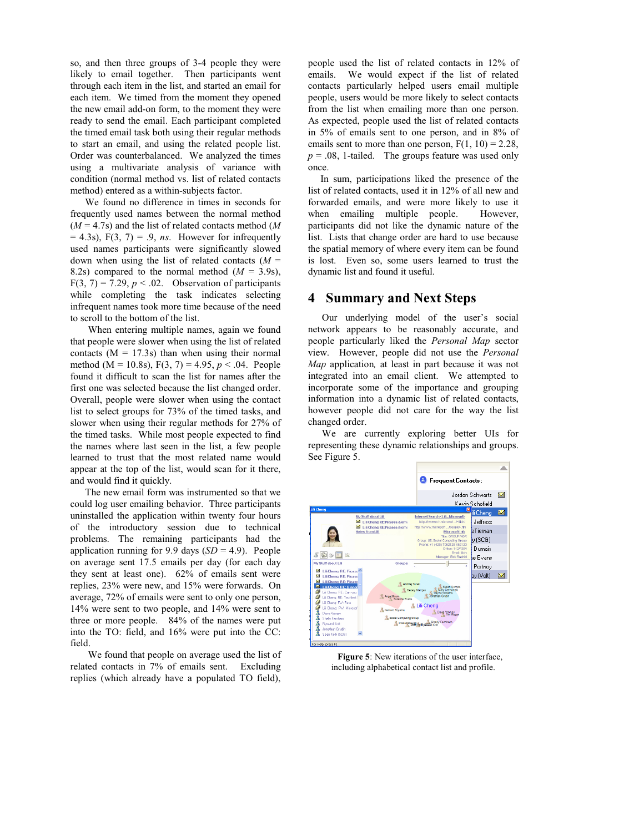so, and then three groups of 3-4 people they were likely to email together. Then participants went through each item in the list, and started an email for each item. We timed from the moment they opened the new email add-on form, to the moment they were ready to send the email. Each participant completed the timed email task both using their regular methods to start an email, and using the related people list. Order was counterbalanced. We analyzed the times using a multivariate analysis of variance with condition (normal method vs. list of related contacts method) entered as a within-subjects factor.

 We found no difference in times in seconds for frequently used names between the normal method (*M* = 4.7s) and the list of related contacts method (*M*  $= 4.3$ s),  $F(3, 7) = .9$ , *ns*. However for infrequently used names participants were significantly slowed down when using the list of related contacts  $(M =$ 8.2s) compared to the normal method  $(M = 3.9s)$ ,  $F(3, 7) = 7.29$ ,  $p < .02$ . Observation of participants while completing the task indicates selecting infrequent names took more time because of the need to scroll to the bottom of the list.

 When entering multiple names, again we found that people were slower when using the list of related contacts  $(M = 17.3s)$  than when using their normal method (M = 10.8s), F(3, 7) = 4.95, *p* < .04. People found it difficult to scan the list for names after the first one was selected because the list changed order. Overall, people were slower when using the contact list to select groups for 73% of the timed tasks, and slower when using their regular methods for 27% of the timed tasks. While most people expected to find the names where last seen in the list, a few people learned to trust that the most related name would appear at the top of the list, would scan for it there, and would find it quickly.

 The new email form was instrumented so that we could log user emailing behavior. Three participants uninstalled the application within twenty four hours of the introductory session due to technical problems. The remaining participants had the application running for 9.9 days  $(SD = 4.9)$ . People on average sent 17.5 emails per day (for each day they sent at least one). 62% of emails sent were replies, 23% were new, and 15% were forwards. On average, 72% of emails were sent to only one person, 14% were sent to two people, and 14% were sent to three or more people. 84% of the names were put into the TO: field, and 16% were put into the CC: field.

 We found that people on average used the list of related contacts in 7% of emails sent. Excluding replies (which already have a populated TO field),

people used the list of related contacts in 12% of emails. We would expect if the list of related contacts particularly helped users email multiple people, users would be more likely to select contacts from the list when emailing more than one person. As expected, people used the list of related contacts in 5% of emails sent to one person, and in 8% of emails sent to more than one person,  $F(1, 10) = 2.28$ ,  $p = 0.08$ , 1-tailed. The groups feature was used only once.

 In sum, participations liked the presence of the list of related contacts, used it in 12% of all new and forwarded emails, and were more likely to use it when emailing multiple people. However, participants did not like the dynamic nature of the list. Lists that change order are hard to use because the spatial memory of where every item can be found is lost. Even so, some users learned to trust the dynamic list and found it useful.

## **4 Summary and Next Steps**

Our underlying model of the user's social network appears to be reasonably accurate, and people particularly liked the *Personal Map* sector view. However, people did not use the *Personal Map* application*,* at least in part because it was not integrated into an email client. We attempted to incorporate some of the importance and grouping information into a dynamic list of related contacts, however people did not care for the way the list changed order.

We are currently exploring better UIs for representing these dynamic relationships and groups. See Figure 5.



**Figure 5**: New iterations of the user interface, including alphabetical contact list and profile.